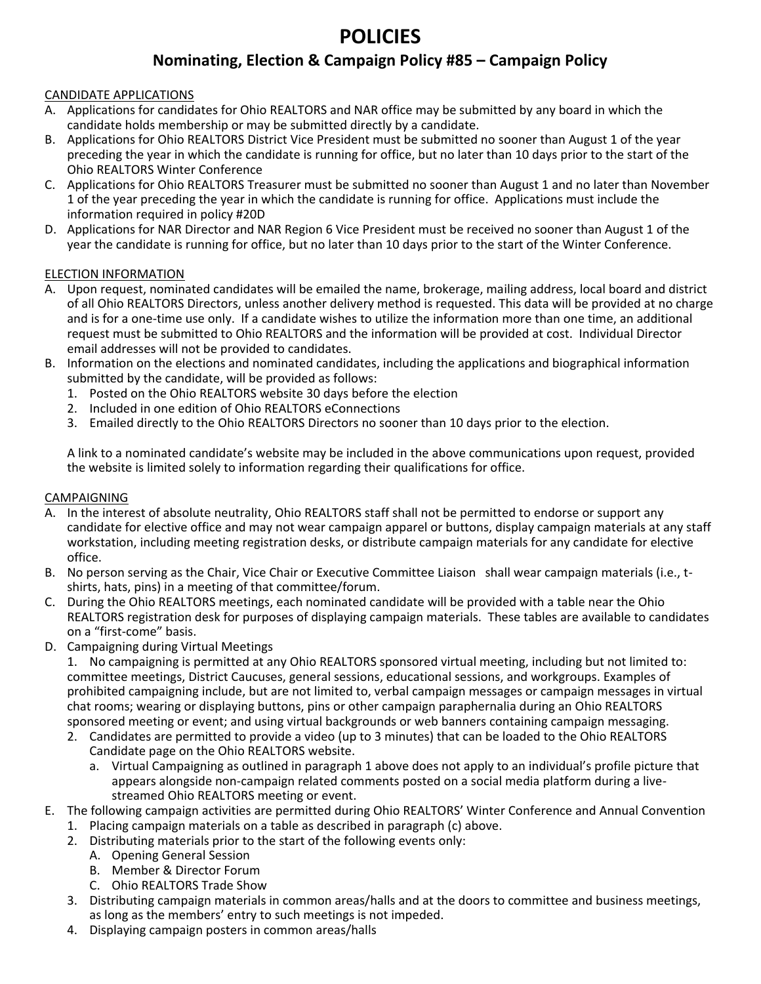# **POLICIES**

# **Nominating, Election & Campaign Policy #85 – Campaign Policy**

### CANDIDATE APPLICATIONS

- A. Applications for candidates for Ohio REALTORS and NAR office may be submitted by any board in which the candidate holds membership or may be submitted directly by a candidate.
- B. Applications for Ohio REALTORS District Vice President must be submitted no sooner than August 1 of the year preceding the year in which the candidate is running for office, but no later than 10 days prior to the start of the Ohio REALTORS Winter Conference
- C. Applications for Ohio REALTORS Treasurer must be submitted no sooner than August 1 and no later than November 1 of the year preceding the year in which the candidate is running for office. Applications must include the information required in policy #20D
- D. Applications for NAR Director and NAR Region 6 Vice President must be received no sooner than August 1 of the year the candidate is running for office, but no later than 10 days prior to the start of the Winter Conference.

#### ELECTION INFORMATION

- A. Upon request, nominated candidates will be emailed the name, brokerage, mailing address, local board and district of all Ohio REALTORS Directors, unless another delivery method is requested. This data will be provided at no charge and is for a one-time use only. If a candidate wishes to utilize the information more than one time, an additional request must be submitted to Ohio REALTORS and the information will be provided at cost. Individual Director email addresses will not be provided to candidates.
- B. Information on the elections and nominated candidates, including the applications and biographical information submitted by the candidate, will be provided as follows:
	- 1. Posted on the Ohio REALTORS website 30 days before the election
	- 2. Included in one edition of Ohio REALTORS eConnections
	- 3. Emailed directly to the Ohio REALTORS Directors no sooner than 10 days prior to the election.

A link to a nominated candidate's website may be included in the above communications upon request, provided the website is limited solely to information regarding their qualifications for office.

#### CAMPAIGNING

- A. In the interest of absolute neutrality, Ohio REALTORS staff shall not be permitted to endorse or support any candidate for elective office and may not wear campaign apparel or buttons, display campaign materials at any staff workstation, including meeting registration desks, or distribute campaign materials for any candidate for elective office.
- B. No person serving as the Chair, Vice Chair or Executive Committee Liaison shall wear campaign materials (i.e., tshirts, hats, pins) in a meeting of that committee/forum.
- C. During the Ohio REALTORS meetings, each nominated candidate will be provided with a table near the Ohio REALTORS registration desk for purposes of displaying campaign materials. These tables are available to candidates on a "first-come" basis.
- D. Campaigning during Virtual Meetings

1. No campaigning is permitted at any Ohio REALTORS sponsored virtual meeting, including but not limited to: committee meetings, District Caucuses, general sessions, educational sessions, and workgroups. Examples of prohibited campaigning include, but are not limited to, verbal campaign messages or campaign messages in virtual chat rooms; wearing or displaying buttons, pins or other campaign paraphernalia during an Ohio REALTORS sponsored meeting or event; and using virtual backgrounds or web banners containing campaign messaging.

- 2. Candidates are permitted to provide a video (up to 3 minutes) that can be loaded to the Ohio REALTORS Candidate page on the Ohio REALTORS website.
	- a. Virtual Campaigning as outlined in paragraph 1 above does not apply to an individual's profile picture that appears alongside non-campaign related comments posted on a social media platform during a livestreamed Ohio REALTORS meeting or event.
- E. The following campaign activities are permitted during Ohio REALTORS' Winter Conference and Annual Convention
	- 1. Placing campaign materials on a table as described in paragraph (c) above.
	- 2. Distributing materials prior to the start of the following events only:
		- A. Opening General Session
		- B. Member & Director Forum
		- C. Ohio REALTORS Trade Show
	- 3. Distributing campaign materials in common areas/halls and at the doors to committee and business meetings, as long as the members' entry to such meetings is not impeded.
	- 4. Displaying campaign posters in common areas/halls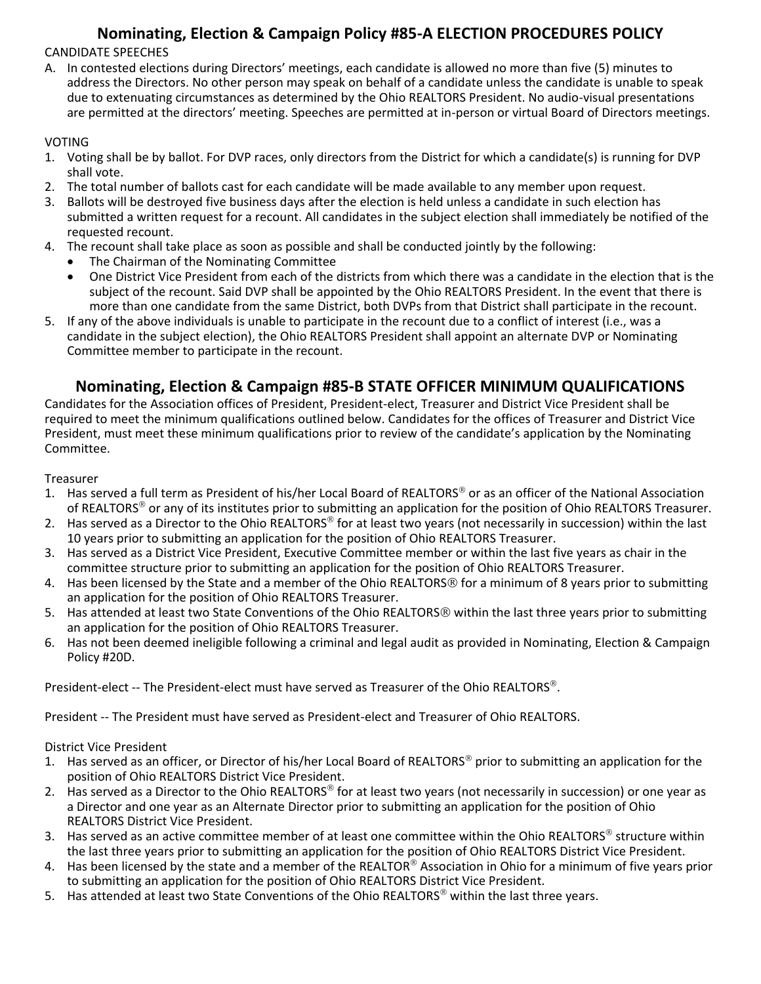# **Nominating, Election & Campaign Policy #85-A ELECTION PROCEDURES POLICY**

CANDIDATE SPEECHES

A. In contested elections during Directors' meetings, each candidate is allowed no more than five (5) minutes to address the Directors. No other person may speak on behalf of a candidate unless the candidate is unable to speak due to extenuating circumstances as determined by the Ohio REALTORS President. No audio-visual presentations are permitted at the directors' meeting. Speeches are permitted at in-person or virtual Board of Directors meetings.

### VOTING

- 1. Voting shall be by ballot. For DVP races, only directors from the District for which a candidate(s) is running for DVP shall vote.
- 2. The total number of ballots cast for each candidate will be made available to any member upon request.
- 3. Ballots will be destroyed five business days after the election is held unless a candidate in such election has submitted a written request for a recount. All candidates in the subject election shall immediately be notified of the requested recount.
- 4. The recount shall take place as soon as possible and shall be conducted jointly by the following:
	- The Chairman of the Nominating Committee
	- One District Vice President from each of the districts from which there was a candidate in the election that is the subject of the recount. Said DVP shall be appointed by the Ohio REALTORS President. In the event that there is more than one candidate from the same District, both DVPs from that District shall participate in the recount.
- 5. If any of the above individuals is unable to participate in the recount due to a conflict of interest (i.e., was a candidate in the subject election), the Ohio REALTORS President shall appoint an alternate DVP or Nominating Committee member to participate in the recount.

# **Nominating, Election & Campaign #85-B STATE OFFICER MINIMUM QUALIFICATIONS**

Candidates for the Association offices of President, President-elect, Treasurer and District Vice President shall be required to meet the minimum qualifications outlined below. Candidates for the offices of Treasurer and District Vice President, must meet these minimum qualifications prior to review of the candidate's application by the Nominating Committee.

### Treasurer

- 1. Has served a full term as President of his/her Local Board of REALTORS<sup>®</sup> or as an officer of the National Association of REALTORS<sup>®</sup> or any of its institutes prior to submitting an application for the position of Ohio REALTORS Treasurer.
- 2. Has served as a Director to the Ohio REALTORS<sup>®</sup> for at least two years (not necessarily in succession) within the last 10 years prior to submitting an application for the position of Ohio REALTORS Treasurer.
- 3. Has served as a District Vice President, Executive Committee member or within the last five years as chair in the committee structure prior to submitting an application for the position of Ohio REALTORS Treasurer.
- 4. Has been licensed by the State and a member of the Ohio REALTORS<sup>®</sup> for a minimum of 8 years prior to submitting an application for the position of Ohio REALTORS Treasurer.
- 5. Has attended at least two State Conventions of the Ohio REALTORS® within the last three years prior to submitting an application for the position of Ohio REALTORS Treasurer.
- 6. Has not been deemed ineligible following a criminal and legal audit as provided in Nominating, Election & Campaign Policy #20D.

President-elect -- The President-elect must have served as Treasurer of the Ohio REALTORS®.

President -- The President must have served as President-elect and Treasurer of Ohio REALTORS.

District Vice President

- 1. Has served as an officer, or Director of his/her Local Board of REALTORS<sup>®</sup> prior to submitting an application for the position of Ohio REALTORS District Vice President.
- 2. Has served as a Director to the Ohio REALTORS<sup>®</sup> for at least two years (not necessarily in succession) or one year as a Director and one year as an Alternate Director prior to submitting an application for the position of Ohio REALTORS District Vice President.
- 3. Has served as an active committee member of at least one committee within the Ohio REALTORS® structure within the last three years prior to submitting an application for the position of Ohio REALTORS District Vice President.
- 4. Has been licensed by the state and a member of the REALTOR® Association in Ohio for a minimum of five years prior to submitting an application for the position of Ohio REALTORS District Vice President.
- 5. Has attended at least two State Conventions of the Ohio REALTORS<sup>®</sup> within the last three years.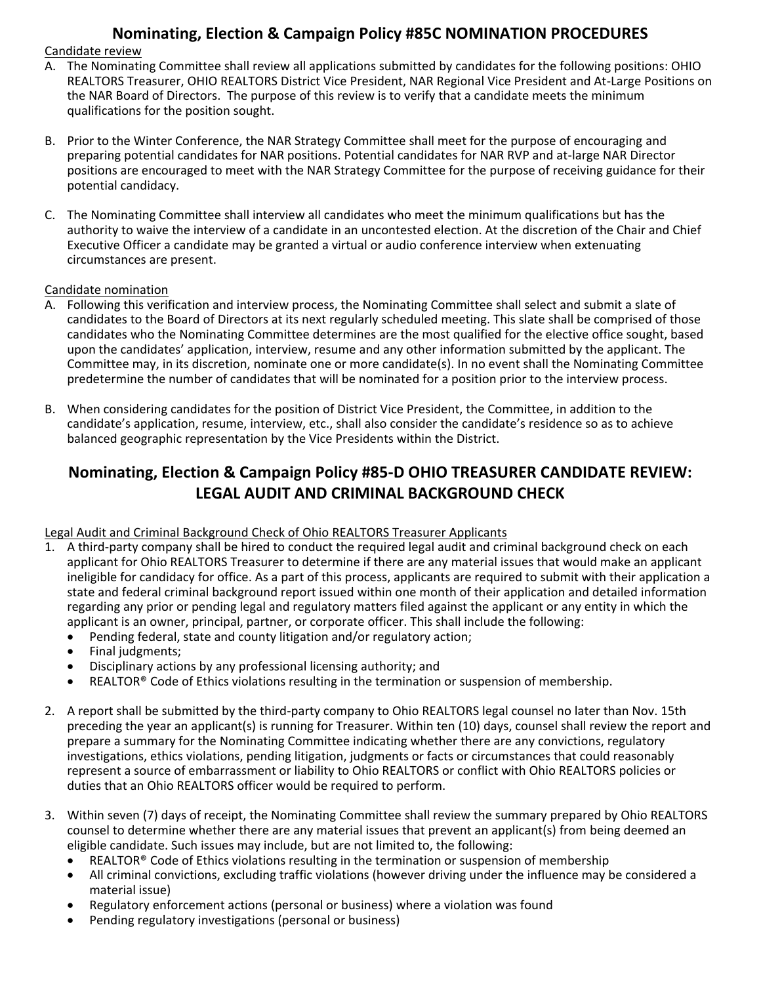# **Nominating, Election & Campaign Policy #85C NOMINATION PROCEDURES**

#### Candidate review

- A. The Nominating Committee shall review all applications submitted by candidates for the following positions: OHIO REALTORS Treasurer, OHIO REALTORS District Vice President, NAR Regional Vice President and At-Large Positions on the NAR Board of Directors. The purpose of this review is to verify that a candidate meets the minimum qualifications for the position sought.
- B. Prior to the Winter Conference, the NAR Strategy Committee shall meet for the purpose of encouraging and preparing potential candidates for NAR positions. Potential candidates for NAR RVP and at-large NAR Director positions are encouraged to meet with the NAR Strategy Committee for the purpose of receiving guidance for their potential candidacy.
- C. The Nominating Committee shall interview all candidates who meet the minimum qualifications but has the authority to waive the interview of a candidate in an uncontested election. At the discretion of the Chair and Chief Executive Officer a candidate may be granted a virtual or audio conference interview when extenuating circumstances are present.

### Candidate nomination

- A. Following this verification and interview process, the Nominating Committee shall select and submit a slate of candidates to the Board of Directors at its next regularly scheduled meeting. This slate shall be comprised of those candidates who the Nominating Committee determines are the most qualified for the elective office sought, based upon the candidates' application, interview, resume and any other information submitted by the applicant. The Committee may, in its discretion, nominate one or more candidate(s). In no event shall the Nominating Committee predetermine the number of candidates that will be nominated for a position prior to the interview process.
- B. When considering candidates for the position of District Vice President, the Committee, in addition to the candidate's application, resume, interview, etc., shall also consider the candidate's residence so as to achieve balanced geographic representation by the Vice Presidents within the District.

# **Nominating, Election & Campaign Policy #85-D OHIO TREASURER CANDIDATE REVIEW: LEGAL AUDIT AND CRIMINAL BACKGROUND CHECK**

### Legal Audit and Criminal Background Check of Ohio REALTORS Treasurer Applicants

- 1. A third-party company shall be hired to conduct the required legal audit and criminal background check on each applicant for Ohio REALTORS Treasurer to determine if there are any material issues that would make an applicant ineligible for candidacy for office. As a part of this process, applicants are required to submit with their application a state and federal criminal background report issued within one month of their application and detailed information regarding any prior or pending legal and regulatory matters filed against the applicant or any entity in which the applicant is an owner, principal, partner, or corporate officer. This shall include the following:
	- Pending federal, state and county litigation and/or regulatory action;
	- Final judgments:
	- Disciplinary actions by any professional licensing authority; and
	- REALTOR® Code of Ethics violations resulting in the termination or suspension of membership.
- 2. A report shall be submitted by the third-party company to Ohio REALTORS legal counsel no later than Nov. 15th preceding the year an applicant(s) is running for Treasurer. Within ten (10) days, counsel shall review the report and prepare a summary for the Nominating Committee indicating whether there are any convictions, regulatory investigations, ethics violations, pending litigation, judgments or facts or circumstances that could reasonably represent a source of embarrassment or liability to Ohio REALTORS or conflict with Ohio REALTORS policies or duties that an Ohio REALTORS officer would be required to perform.
- 3. Within seven (7) days of receipt, the Nominating Committee shall review the summary prepared by Ohio REALTORS counsel to determine whether there are any material issues that prevent an applicant(s) from being deemed an eligible candidate. Such issues may include, but are not limited to, the following:
	- REALTOR® Code of Ethics violations resulting in the termination or suspension of membership
	- All criminal convictions, excluding traffic violations (however driving under the influence may be considered a material issue)
	- Regulatory enforcement actions (personal or business) where a violation was found
	- Pending regulatory investigations (personal or business)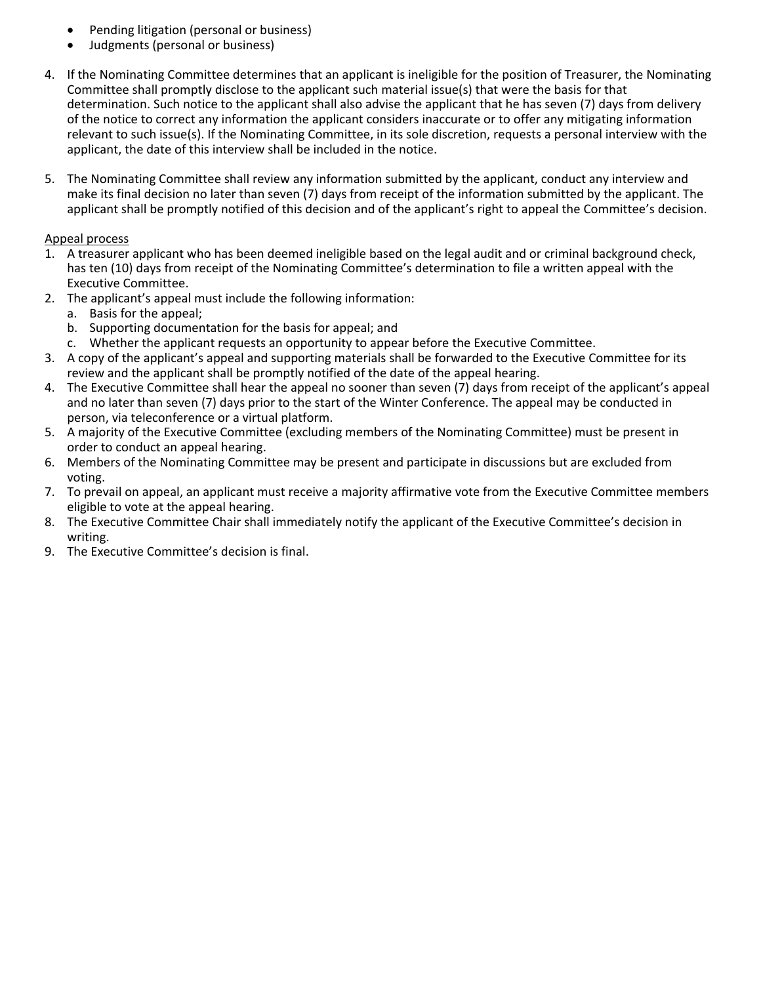- Pending litigation (personal or business)
- Judgments (personal or business)
- 4. If the Nominating Committee determines that an applicant is ineligible for the position of Treasurer, the Nominating Committee shall promptly disclose to the applicant such material issue(s) that were the basis for that determination. Such notice to the applicant shall also advise the applicant that he has seven (7) days from delivery of the notice to correct any information the applicant considers inaccurate or to offer any mitigating information relevant to such issue(s). If the Nominating Committee, in its sole discretion, requests a personal interview with the applicant, the date of this interview shall be included in the notice.
- 5. The Nominating Committee shall review any information submitted by the applicant, conduct any interview and make its final decision no later than seven (7) days from receipt of the information submitted by the applicant. The applicant shall be promptly notified of this decision and of the applicant's right to appeal the Committee's decision.

### Appeal process

- 1. A treasurer applicant who has been deemed ineligible based on the legal audit and or criminal background check, has ten (10) days from receipt of the Nominating Committee's determination to file a written appeal with the Executive Committee.
- 2. The applicant's appeal must include the following information:
	- a. Basis for the appeal;
	- b. Supporting documentation for the basis for appeal; and
	- c. Whether the applicant requests an opportunity to appear before the Executive Committee.
- 3. A copy of the applicant's appeal and supporting materials shall be forwarded to the Executive Committee for its review and the applicant shall be promptly notified of the date of the appeal hearing.
- 4. The Executive Committee shall hear the appeal no sooner than seven (7) days from receipt of the applicant's appeal and no later than seven (7) days prior to the start of the Winter Conference. The appeal may be conducted in person, via teleconference or a virtual platform.
- 5. A majority of the Executive Committee (excluding members of the Nominating Committee) must be present in order to conduct an appeal hearing.
- 6. Members of the Nominating Committee may be present and participate in discussions but are excluded from voting.
- 7. To prevail on appeal, an applicant must receive a majority affirmative vote from the Executive Committee members eligible to vote at the appeal hearing.
- 8. The Executive Committee Chair shall immediately notify the applicant of the Executive Committee's decision in writing.
- 9. The Executive Committee's decision is final.